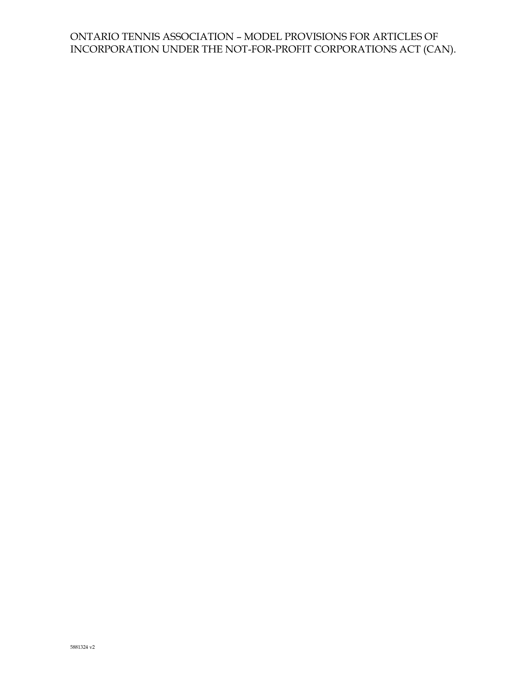## ONTARIO TENNIS ASSOCIATION – MODEL PROVISIONS FOR ARTICLES OF INCORPORATION UNDER THE NOT-FOR-PROFIT CORPORATIONS ACT (CAN).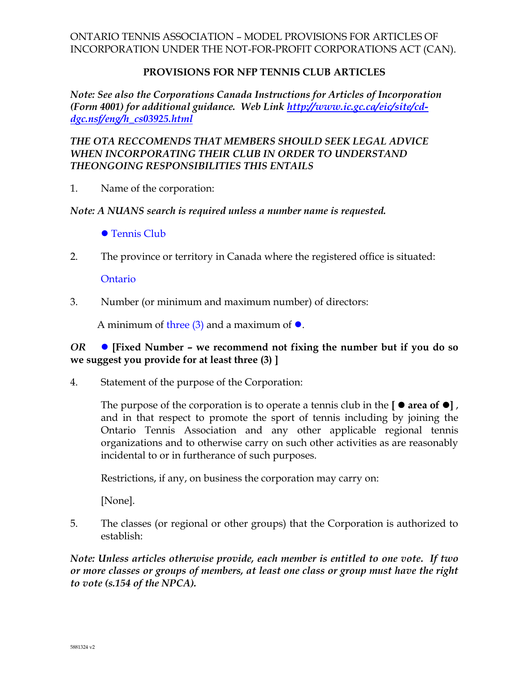## ONTARIO TENNIS ASSOCIATION – MODEL PROVISIONS FOR ARTICLES OF INCORPORATION UNDER THE NOT-FOR-PROFIT CORPORATIONS ACT (CAN).

### **PROVISIONS FOR NFP TENNIS CLUB ARTICLES**

*Note: See also the Corporations Canada Instructions for Articles of Incorporation (Form 4001) for additional guidance. Web Link [http://www.ic.gc.ca/eic/site/cd](http://www.ic.gc.ca/eic/site/cd-dgc.nsf/eng/h_cs03925.html)[dgc.nsf/eng/h\\_cs03925.html](http://www.ic.gc.ca/eic/site/cd-dgc.nsf/eng/h_cs03925.html)*

## *THE OTA RECCOMENDS THAT MEMBERS SHOULD SEEK LEGAL ADVICE WHEN INCORPORATING THEIR CLUB IN ORDER TO UNDERSTAND THEONGOING RESPONSIBILITIES THIS ENTAILS*

1. Name of the corporation:

#### *Note: A NUANS search is required unless a number name is requested.*

- Tennis Club
- 2. The province or territory in Canada where the registered office is situated:

**Ontario** 

3. Number (or minimum and maximum number) of directors:

A minimum of three  $(3)$  and a maximum of  $\bullet$ .

## *OR* **[Fixed Number – we recommend not fixing the number but if you do so we suggest you provide for at least three (3) ]**

4. Statement of the purpose of the Corporation:

The purpose of the corporation is to operate a tennis club in the  $\lceil \bullet \right]$  area of  $\lceil \bullet \rceil$ , and in that respect to promote the sport of tennis including by joining the Ontario Tennis Association and any other applicable regional tennis organizations and to otherwise carry on such other activities as are reasonably incidental to or in furtherance of such purposes.

Restrictions, if any, on business the corporation may carry on:

[None].

5. The classes (or regional or other groups) that the Corporation is authorized to establish:

*Note: Unless articles otherwise provide, each member is entitled to one vote. If two or more classes or groups of members, at least one class or group must have the right to vote (s.154 of the NPCA).*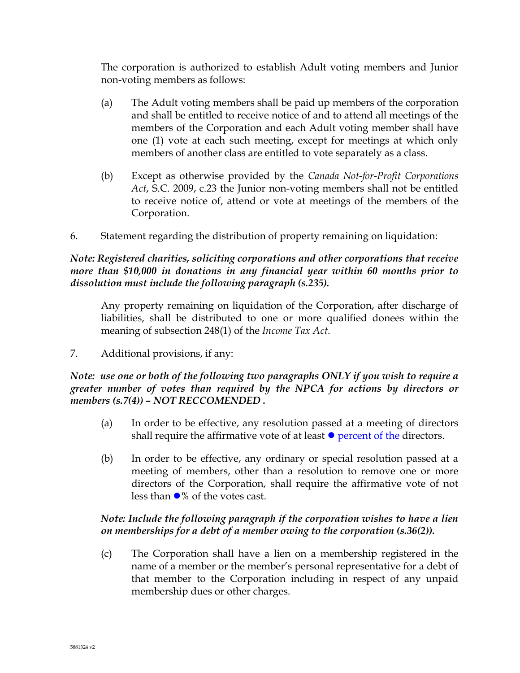The corporation is authorized to establish Adult voting members and Junior non-voting members as follows:

- (a) The Adult voting members shall be paid up members of the corporation and shall be entitled to receive notice of and to attend all meetings of the members of the Corporation and each Adult voting member shall have one (1) vote at each such meeting, except for meetings at which only members of another class are entitled to vote separately as a class.
- (b) Except as otherwise provided by the *Canada Not-for-Profit Corporations Act*, S.C. 2009, c.23 the Junior non-voting members shall not be entitled to receive notice of, attend or vote at meetings of the members of the Corporation.
- 6. Statement regarding the distribution of property remaining on liquidation:

## *Note: Registered charities, soliciting corporations and other corporations that receive more than \$10,000 in donations in any financial year within 60 months prior to dissolution must include the following paragraph (s.235).*

Any property remaining on liquidation of the Corporation, after discharge of liabilities, shall be distributed to one or more qualified donees within the meaning of subsection 248(1) of the *Income Tax Act*.

7. Additional provisions, if any:

*Note: use one or both of the following two paragraphs ONLY if you wish to require a greater number of votes than required by the NPCA for actions by directors or members (s.7(4)) – NOT RECCOMENDED .* 

- (a) In order to be effective, any resolution passed at a meeting of directors shall require the affirmative vote of at least  $\bullet$  percent of the directors.
- (b) In order to be effective, any ordinary or special resolution passed at a meeting of members, other than a resolution to remove one or more directors of the Corporation, shall require the affirmative vote of not less than  $\bullet\%$  of the votes cast.

# *Note: Include the following paragraph if the corporation wishes to have a lien on memberships for a debt of a member owing to the corporation (s.36(2)).*

(c) The Corporation shall have a lien on a membership registered in the name of a member or the member's personal representative for a debt of that member to the Corporation including in respect of any unpaid membership dues or other charges.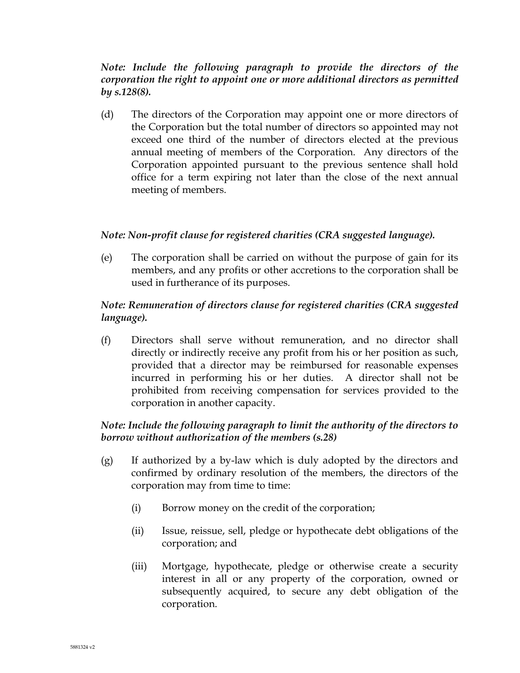## *Note: Include the following paragraph to provide the directors of the corporation the right to appoint one or more additional directors as permitted by s.128(8).*

(d) The directors of the Corporation may appoint one or more directors of the Corporation but the total number of directors so appointed may not exceed one third of the number of directors elected at the previous annual meeting of members of the Corporation. Any directors of the Corporation appointed pursuant to the previous sentence shall hold office for a term expiring not later than the close of the next annual meeting of members.

## *Note: Non-profit clause for registered charities (CRA suggested language).*

(e) The corporation shall be carried on without the purpose of gain for its members, and any profits or other accretions to the corporation shall be used in furtherance of its purposes.

## *Note: Remuneration of directors clause for registered charities (CRA suggested language).*

(f) Directors shall serve without remuneration, and no director shall directly or indirectly receive any profit from his or her position as such, provided that a director may be reimbursed for reasonable expenses incurred in performing his or her duties. A director shall not be prohibited from receiving compensation for services provided to the corporation in another capacity.

## *Note: Include the following paragraph to limit the authority of the directors to borrow without authorization of the members (s.28)*

- (g) If authorized by a by-law which is duly adopted by the directors and confirmed by ordinary resolution of the members, the directors of the corporation may from time to time:
	- (i) Borrow money on the credit of the corporation;
	- (ii) Issue, reissue, sell, pledge or hypothecate debt obligations of the corporation; and
	- (iii) Mortgage, hypothecate, pledge or otherwise create a security interest in all or any property of the corporation, owned or subsequently acquired, to secure any debt obligation of the corporation.